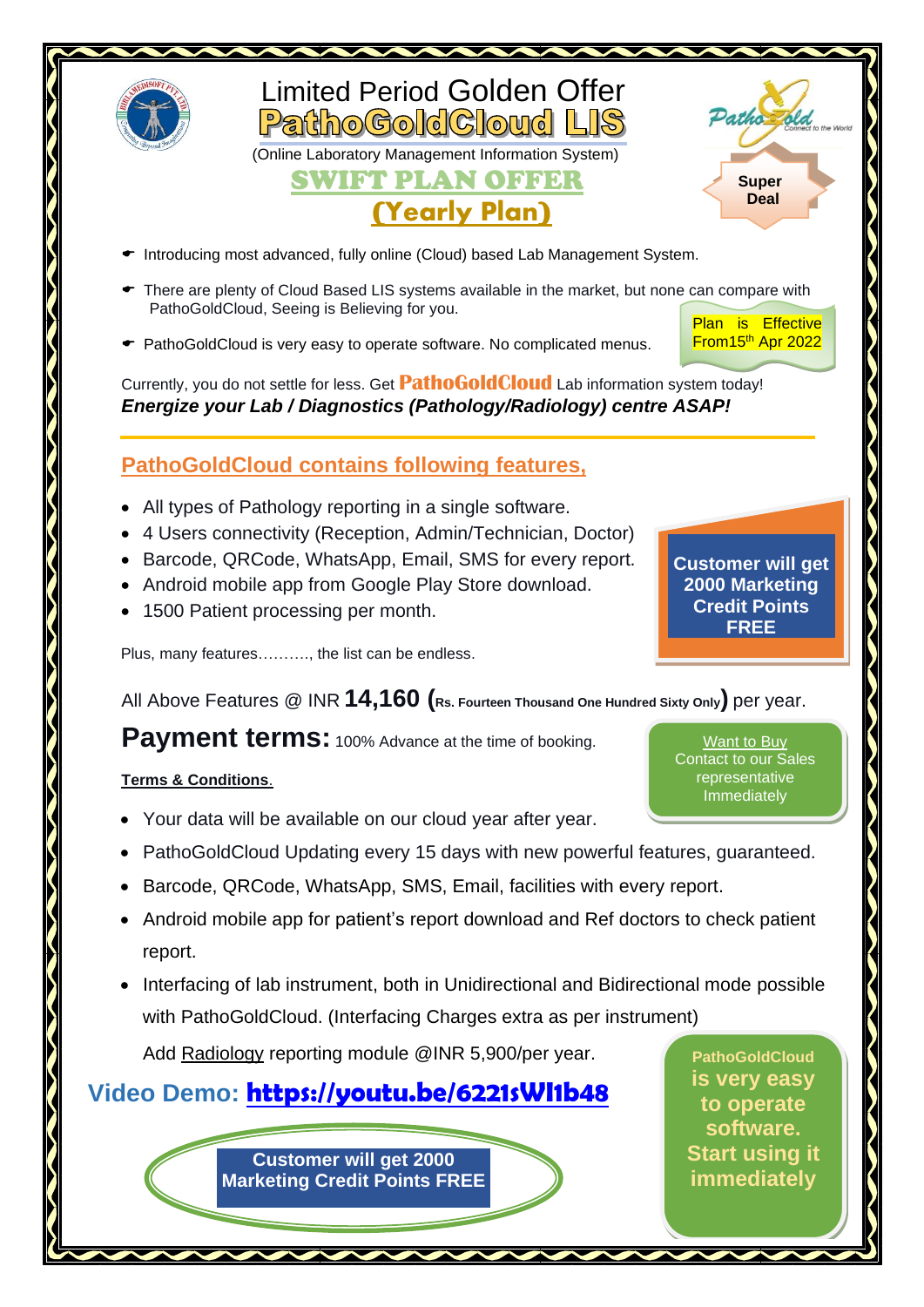